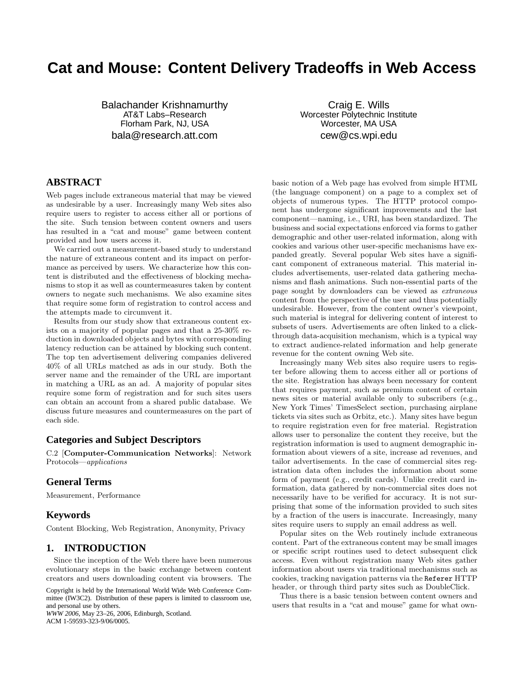# **Cat and Mouse: Content Delivery Tradeoffs in Web Access**

Balachander Krishnamurthy AT&T Labs–Research Florham Park, NJ, USA bala@research.att.com

Craig E. Wills Worcester Polytechnic Institute Worcester, MA USA cew@cs.wpi.edu

## **ABSTRACT**

Web pages include extraneous material that may be viewed as undesirable by a user. Increasingly many Web sites also require users to register to access either all or portions of the site. Such tension between content owners and users has resulted in a "cat and mouse" game between content provided and how users access it.

We carried out a measurement-based study to understand the nature of extraneous content and its impact on performance as perceived by users. We characterize how this content is distributed and the effectiveness of blocking mechanisms to stop it as well as countermeasures taken by content owners to negate such mechanisms. We also examine sites that require some form of registration to control access and the attempts made to circumvent it.

Results from our study show that extraneous content exists on a majority of popular pages and that a 25-30% reduction in downloaded objects and bytes with corresponding latency reduction can be attained by blocking such content. The top ten advertisement delivering companies delivered 40% of all URLs matched as ads in our study. Both the server name and the remainder of the URL are important in matching a URL as an ad. A majority of popular sites require some form of registration and for such sites users can obtain an account from a shared public database. We discuss future measures and countermeasures on the part of each side.

## **Categories and Subject Descriptors**

C.2 [Computer-Communication Networks]: Network Protocols—applications

## **General Terms**

Measurement, Performance

## **Keywords**

Content Blocking, Web Registration, Anonymity, Privacy

## **1. INTRODUCTION**

Since the inception of the Web there have been numerous evolutionary steps in the basic exchange between content creators and users downloading content via browsers. The

Copyright is held by the International World Wide Web Conference Committee (IW3C2). Distribution of these papers is limited to classroom use, and personal use by others.

*WWW 2006*, May 23–26, 2006, Edinburgh, Scotland. ACM 1-59593-323-9/06/0005.

basic notion of a Web page has evolved from simple HTML (the language component) on a page to a complex set of objects of numerous types. The HTTP protocol component has undergone significant improvements and the last component—naming, i.e., URI, has been standardized. The business and social expectations enforced via forms to gather demographic and other user-related information, along with cookies and various other user-specific mechanisms have expanded greatly. Several popular Web sites have a significant component of extraneous material. This material includes advertisements, user-related data gathering mechanisms and flash animations. Such non-essential parts of the page sought by downloaders can be viewed as extraneous content from the perspective of the user and thus potentially undesirable. However, from the content owner's viewpoint, such material is integral for delivering content of interest to subsets of users. Advertisements are often linked to a clickthrough data-acquisition mechanism, which is a typical way to extract audience-related information and help generate revenue for the content owning Web site.

Increasingly many Web sites also require users to register before allowing them to access either all or portions of the site. Registration has always been necessary for content that requires payment, such as premium content of certain news sites or material available only to subscribers (e.g., New York Times' TimesSelect section, purchasing airplane tickets via sites such as Orbitz, etc.). Many sites have begun to require registration even for free material. Registration allows user to personalize the content they receive, but the registration information is used to augment demographic information about viewers of a site, increase ad revenues, and tailor advertisements. In the case of commercial sites registration data often includes the information about some form of payment (e.g., credit cards). Unlike credit card information, data gathered by non-commercial sites does not necessarily have to be verified for accuracy. It is not surprising that some of the information provided to such sites by a fraction of the users is inaccurate. Increasingly, many sites require users to supply an email address as well.

Popular sites on the Web routinely include extraneous content. Part of the extraneous content may be small images or specific script routines used to detect subsequent click access. Even without registration many Web sites gather information about users via traditional mechanisms such as cookies, tracking navigation patterns via the Referer HTTP header, or through third party sites such as DoubleClick.

Thus there is a basic tension between content owners and users that results in a "cat and mouse" game for what own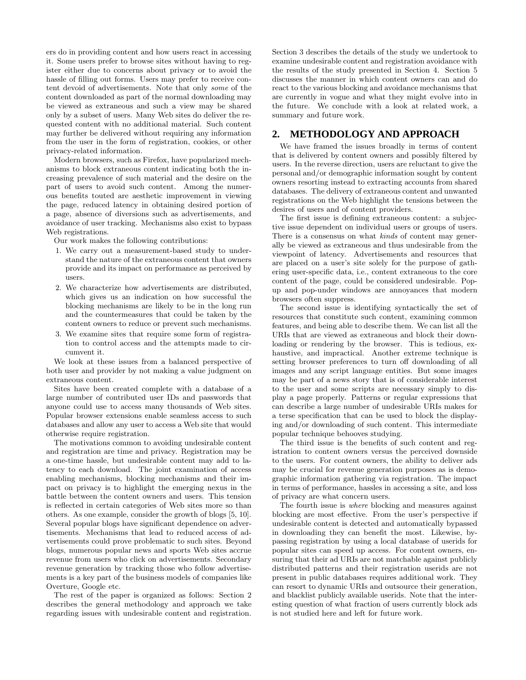ers do in providing content and how users react in accessing it. Some users prefer to browse sites without having to register either due to concerns about privacy or to avoid the hassle of filling out forms. Users may prefer to receive content devoid of advertisements. Note that only some of the content downloaded as part of the normal downloading may be viewed as extraneous and such a view may be shared only by a subset of users. Many Web sites do deliver the requested content with no additional material. Such content may further be delivered without requiring any information from the user in the form of registration, cookies, or other privacy-related information.

Modern browsers, such as Firefox, have popularized mechanisms to block extraneous content indicating both the increasing prevalence of such material and the desire on the part of users to avoid such content. Among the numerous benefits touted are aesthetic improvement in viewing the page, reduced latency in obtaining desired portion of a page, absence of diversions such as advertisements, and avoidance of user tracking. Mechanisms also exist to bypass Web registrations.

Our work makes the following contributions:

- 1. We carry out a measurement-based study to understand the nature of the extraneous content that owners provide and its impact on performance as perceived by users.
- 2. We characterize how advertisements are distributed, which gives us an indication on how successful the blocking mechanisms are likely to be in the long run and the countermeasures that could be taken by the content owners to reduce or prevent such mechanisms.
- 3. We examine sites that require some form of registration to control access and the attempts made to circumvent it.

We look at these issues from a balanced perspective of both user and provider by not making a value judgment on extraneous content.

Sites have been created complete with a database of a large number of contributed user IDs and passwords that anyone could use to access many thousands of Web sites. Popular browser extensions enable seamless access to such databases and allow any user to access a Web site that would otherwise require registration.

The motivations common to avoiding undesirable content and registration are time and privacy. Registration may be a one-time hassle, but undesirable content may add to latency to each download. The joint examination of access enabling mechanisms, blocking mechanisms and their impact on privacy is to highlight the emerging nexus in the battle between the content owners and users. This tension is reflected in certain categories of Web sites more so than others. As one example, consider the growth of blogs [5, 10]. Several popular blogs have significant dependence on advertisements. Mechanisms that lead to reduced access of advertisements could prove problematic to such sites. Beyond blogs, numerous popular news and sports Web sites accrue revenue from users who click on advertisements. Secondary revenue generation by tracking those who follow advertisements is a key part of the business models of companies like Overture, Google etc.

The rest of the paper is organized as follows: Section 2 describes the general methodology and approach we take regarding issues with undesirable content and registration.

Section 3 describes the details of the study we undertook to examine undesirable content and registration avoidance with the results of the study presented in Section 4. Section 5 discusses the manner in which content owners can and do react to the various blocking and avoidance mechanisms that are currently in vogue and what they might evolve into in the future. We conclude with a look at related work, a summary and future work.

## **2. METHODOLOGY AND APPROACH**

We have framed the issues broadly in terms of content that is delivered by content owners and possibly filtered by users. In the reverse direction, users are reluctant to give the personal and/or demographic information sought by content owners resorting instead to extracting accounts from shared databases. The delivery of extraneous content and unwanted registrations on the Web highlight the tensions between the desires of users and of content providers.

The first issue is defining extraneous content: a subjective issue dependent on individual users or groups of users. There is a consensus on what *kinds* of content may generally be viewed as extraneous and thus undesirable from the viewpoint of latency. Advertisements and resources that are placed on a user's site solely for the purpose of gathering user-specific data, i.e., content extraneous to the core content of the page, could be considered undesirable. Popup and pop-under windows are annoyances that modern browsers often suppress.

The second issue is identifying syntactically the set of resources that constitute such content, examining common features, and being able to describe them. We can list all the URIs that are viewed as extraneous and block their downloading or rendering by the browser. This is tedious, exhaustive, and impractical. Another extreme technique is setting browser preferences to turn off downloading of all images and any script language entities. But some images may be part of a news story that is of considerable interest to the user and some scripts are necessary simply to display a page properly. Patterns or regular expressions that can describe a large number of undesirable URIs makes for a terse specification that can be used to block the displaying and/or downloading of such content. This intermediate popular technique behooves studying.

The third issue is the benefits of such content and registration to content owners versus the perceived downside to the users. For content owners, the ability to deliver ads may be crucial for revenue generation purposes as is demographic information gathering via registration. The impact in terms of performance, hassles in accessing a site, and loss of privacy are what concern users.

The fourth issue is where blocking and measures against blocking are most effective. From the user's perspective if undesirable content is detected and automatically bypassed in downloading they can benefit the most. Likewise, bypassing registration by using a local database of userids for popular sites can speed up access. For content owners, ensuring that their ad URIs are not matchable against publicly distributed patterns and their registration userids are not present in public databases requires additional work. They can resort to dynamic URIs and outsource their generation, and blacklist publicly available userids. Note that the interesting question of what fraction of users currently block ads is not studied here and left for future work.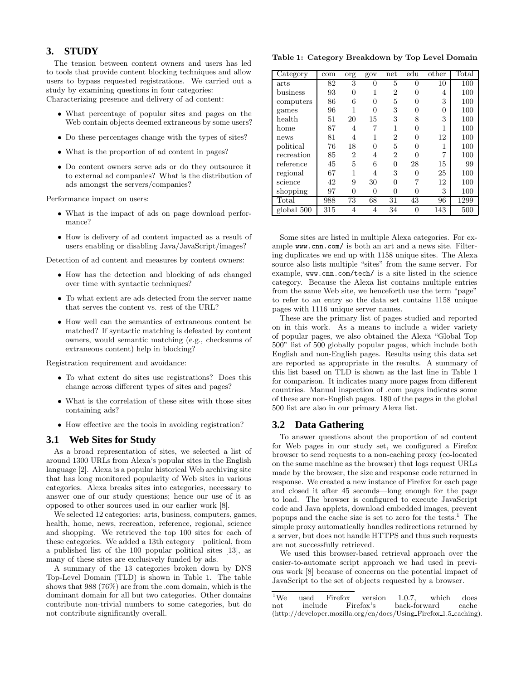## **3. STUDY**

The tension between content owners and users has led to tools that provide content blocking techniques and allow users to bypass requested registrations. We carried out a study by examining questions in four categories: Characterizing presence and delivery of ad content:

- What percentage of popular sites and pages on the Web contain objects deemed extraneous by some users?
- Do these percentages change with the types of sites?
- What is the proportion of ad content in pages?
- Do content owners serve ads or do they outsource it to external ad companies? What is the distribution of ads amongst the servers/companies?

Performance impact on users:

- What is the impact of ads on page download performance?
- How is delivery of ad content impacted as a result of users enabling or disabling Java/JavaScript/images?

Detection of ad content and measures by content owners:

- How has the detection and blocking of ads changed over time with syntactic techniques?
- To what extent are ads detected from the server name that serves the content vs. rest of the URL?
- How well can the semantics of extraneous content be matched? If syntactic matching is defeated by content owners, would semantic matching (e.g., checksums of extraneous content) help in blocking?

Registration requirement and avoidance:

- To what extent do sites use registrations? Does this change across different types of sites and pages?
- What is the correlation of these sites with those sites containing ads?
- How effective are the tools in avoiding registration?

## **3.1 Web Sites for Study**

As a broad representation of sites, we selected a list of around 1300 URLs from Alexa's popular sites in the English language [2]. Alexa is a popular historical Web archiving site that has long monitored popularity of Web sites in various categories. Alexa breaks sites into categories, necessary to answer one of our study questions; hence our use of it as opposed to other sources used in our earlier work [8].

We selected 12 categories: arts, business, computers, games, health, home, news, recreation, reference, regional, science and shopping. We retrieved the top 100 sites for each of these categories. We added a 13th category—political, from a published list of the 100 popular political sites [13], as many of these sites are exclusively funded by ads.

A summary of the 13 categories broken down by DNS Top-Level Domain (TLD) is shown in Table 1. The table shows that 988 (76%) are from the .com domain, which is the dominant domain for all but two categories. Other domains contribute non-trivial numbers to some categories, but do not contribute significantly overall.

#### Table 1: Category Breakdown by Top Level Domain

| Category          | com | org            | gov | $_{\rm net}$   | edu | other | Total |
|-------------------|-----|----------------|-----|----------------|-----|-------|-------|
| arts              | 82  | 3              | 0   | 5              | 0   | 10    | 100   |
| $_{\rm business}$ | 93  | $\Omega$       | 1   | $\overline{2}$ | 0   | 4     | 100   |
| computers         | 86  | 6              | 0   | 5              | 0   | 3     | 100   |
| games             | 96  | 1              | 0   | 3              | 0   | 0     | 100   |
| health            | 51  | 20             | 15  | 3              | 8   | 3     | 100   |
| home              | 87  | 4              |     | 1              | 0   | 1     | 100   |
| news              | 81  | 4              |     | $\overline{2}$ | 0   | 12    | 100   |
| political         | 76  | 18             | 0   | 5              | 0   | 1     | 100   |
| recreation        | 85  | $\overline{2}$ | 4   | $\overline{2}$ | 0   | 7     | 100   |
| reference         | 45  | 5              | 6   | $\Omega$       | 28  | 15    | 99    |
| regional          | 67  | 1              | 4   | 3              | 0   | 25    | 100   |
| science           | 42  | 9              | 30  | 0              | 7   | 12    | 100   |
| shopping          | 97  | 0              | 0   | 0              | 0   | 3     | 100   |
| Total             | 988 | 73             | 68  | 31             | 43  | 96    | 1299  |
| global 500        | 315 |                | 4   | 34             | 0   | 143   | 500   |

Some sites are listed in multiple Alexa categories. For example www.cnn.com/ is both an art and a news site. Filtering duplicates we end up with 1158 unique sites. The Alexa source also lists multiple "sites" from the same server. For example, www.cnn.com/tech/ is a site listed in the science category. Because the Alexa list contains multiple entries from the same Web site, we henceforth use the term "page" to refer to an entry so the data set contains 1158 unique pages with 1116 unique server names.

These are the primary list of pages studied and reported on in this work. As a means to include a wider variety of popular pages, we also obtained the Alexa "Global Top 500" list of 500 globally popular pages, which include both English and non-English pages. Results using this data set are reported as appropriate in the results. A summary of this list based on TLD is shown as the last line in Table 1 for comparison. It indicates many more pages from different countries. Manual inspection of .com pages indicates some of these are non-English pages. 180 of the pages in the global 500 list are also in our primary Alexa list.

## **3.2 Data Gathering**

To answer questions about the proportion of ad content for Web pages in our study set, we configured a Firefox browser to send requests to a non-caching proxy (co-located on the same machine as the browser) that logs request URLs made by the browser, the size and response code returned in response. We created a new instance of Firefox for each page and closed it after 45 seconds—long enough for the page to load. The browser is configured to execute JavaScript code and Java applets, download embedded images, prevent popups and the cache size is set to zero for the tests.<sup>1</sup> The simple proxy automatically handles redirections returned by a server, but does not handle HTTPS and thus such requests are not successfully retrieved.

We used this browser-based retrieval approach over the easier-to-automate script approach we had used in previous work [8] because of concerns on the potential impact of JavaScript to the set of objects requested by a browser.

<sup>&</sup>lt;sup>1</sup>We used Firefox version 1.0.7, which does not include Firefox's back-forward cache (http://developer.mozilla.org/en/docs/Using Firefox 1.5 caching).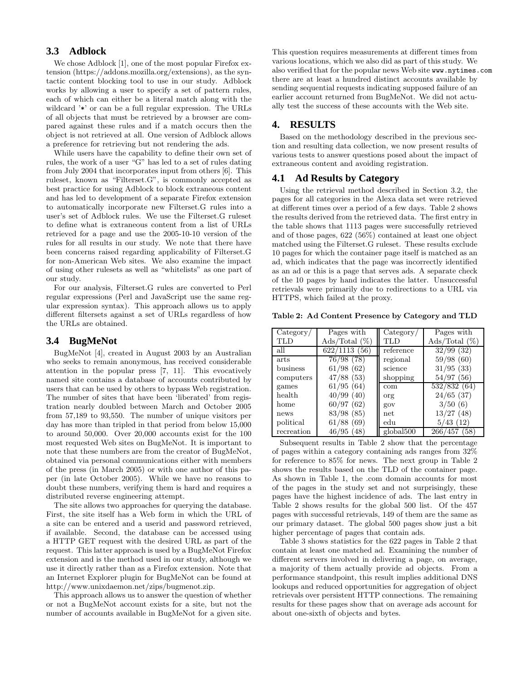## **3.3 Adblock**

We chose Adblock [1], one of the most popular Firefox extension (https://addons.mozilla.org/extensions), as the syntactic content blocking tool to use in our study. Adblock works by allowing a user to specify a set of pattern rules, each of which can either be a literal match along with the wildcard '\*' or can be a full regular expression. The URLs of all objects that must be retrieved by a browser are compared against these rules and if a match occurs then the object is not retrieved at all. One version of Adblock allows a preference for retrieving but not rendering the ads.

While users have the capability to define their own set of rules, the work of a user "G" has led to a set of rules dating from July 2004 that incorporates input from others [6]. This ruleset, known as "Filterset.G", is commonly accepted as best practice for using Adblock to block extraneous content and has led to development of a separate Firefox extension to automatically incorporate new Filterset.G rules into a user's set of Adblock rules. We use the Filterset.G ruleset to define what is extraneous content from a list of URLs retrieved for a page and use the 2005-10-10 version of the rules for all results in our study. We note that there have been concerns raised regarding applicability of Filterset.G for non-American Web sites. We also examine the impact of using other rulesets as well as "whitelists" as one part of our study.

For our analysis, Filterset.G rules are converted to Perl regular expressions (Perl and JavaScript use the same regular expression syntax). This approach allows us to apply different filtersets against a set of URLs regardless of how the URLs are obtained.

#### **3.4 BugMeNot**

BugMeNot [4], created in August 2003 by an Australian who seeks to remain anonymous, has received considerable attention in the popular press [7, 11]. This evocatively named site contains a database of accounts contributed by users that can be used by others to bypass Web registration. The number of sites that have been 'liberated' from registration nearly doubled between March and October 2005 from 57,189 to 93,550. The number of unique visitors per day has more than tripled in that period from below 15,000 to around 50,000. Over 20,000 accounts exist for the 100 most requested Web sites on BugMeNot. It is important to note that these numbers are from the creator of BugMeNot, obtained via personal communications either with members of the press (in March 2005) or with one author of this paper (in late October 2005). While we have no reasons to doubt these numbers, verifying them is hard and requires a distributed reverse engineering attempt.

The site allows two approaches for querying the database. First, the site itself has a Web form in which the URL of a site can be entered and a userid and password retrieved, if available. Second, the database can be accessed using a HTTP GET request with the desired URL as part of the request. This latter approach is used by a BugMeNot Firefox extension and is the method used in our study, although we use it directly rather than as a Firefox extension. Note that an Internet Explorer plugin for BugMeNot can be found at http://www.unixdaemon.net/zips/bugmenot.zip.

This approach allows us to answer the question of whether or not a BugMeNot account exists for a site, but not the number of accounts available in BugMeNot for a given site.

This question requires measurements at different times from various locations, which we also did as part of this study. We also verified that for the popular news Web site www.nytimes.com there are at least a hundred distinct accounts available by sending sequential requests indicating supposed failure of an earlier account returned from BugMeNot. We did not actually test the success of these accounts with the Web site.

## **4. RESULTS**

Based on the methodology described in the previous section and resulting data collection, we now present results of various tests to answer questions posed about the impact of extraneous content and avoiding registration.

#### **4.1 Ad Results by Category**

Using the retrieval method described in Section 3.2, the pages for all categories in the Alexa data set were retrieved at different times over a period of a few days. Table 2 shows the results derived from the retrieved data. The first entry in the table shows that 1113 pages were successfully retrieved and of those pages, 622 (56%) contained at least one object matched using the Filterset.G ruleset. These results exclude 10 pages for which the container page itself is matched as an ad, which indicates that the page was incorrectly identified as an ad or this is a page that serves ads. A separate check of the 10 pages by hand indicates the latter. Unsuccessful retrievals were primarily due to redirections to a URL via HTTPS, which failed at the proxy.

Table 2: Ad Content Presence by Category and TLD

| Category/   | Pages with       | Category/    | Pages with       |
|-------------|------------------|--------------|------------------|
| TLD         | Ads/Total $(\%)$ | <b>TLD</b>   | Ads/Total $(\%)$ |
| all         | 622/1113(56)     | reference    | 32/99(32)        |
| <i>arts</i> | 76/98 (78)       | regional     | 59/98(60)        |
| business    | 61/98(62)        | science      | 31/95(33)        |
| computers   | 47/88(53)        | shopping     | 54/97(56)        |
| games       | 61/95(64)        | com          | 532/832 (64)     |
| health      | 40/99(40)        | org          | 24/65(37)        |
| home        | 60/97(62)        | gov          | 3/50(6)          |
| news        | 83/98 (85)       | net          | 13/27(48)        |
| political   | 61/88(69)        | $_{\rm edu}$ | 5/43(12)         |
| recreation  | 46/95 (48)       | global500    | 266/457<br>(58)  |

Subsequent results in Table 2 show that the percentage of pages within a category containing ads ranges from 32% for reference to 85% for news. The next group in Table 2 shows the results based on the TLD of the container page. As shown in Table 1, the .com domain accounts for most of the pages in the study set and not surprisingly, these pages have the highest incidence of ads. The last entry in Table 2 shows results for the global 500 list. Of the 457 pages with successful retrievals, 149 of them are the same as our primary dataset. The global 500 pages show just a bit higher percentage of pages that contain ads.

Table 3 shows statistics for the 622 pages in Table 2 that contain at least one matched ad. Examining the number of different servers involved in delivering a page, on average, a majority of them actually provide ad objects. From a performance standpoint, this result implies additional DNS lookups and reduced opportunities for aggregation of object retrievals over persistent HTTP connections. The remaining results for these pages show that on average ads account for about one-sixth of objects and bytes.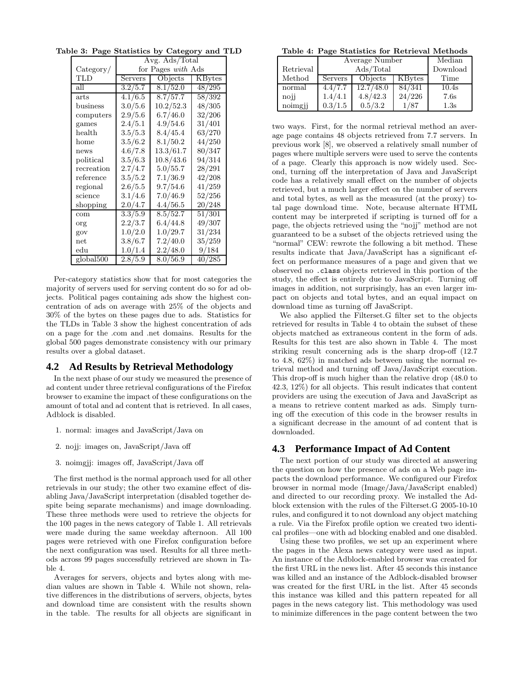|                       | Avg. Ads/Total       |           |        |  |  |  |
|-----------------------|----------------------|-----------|--------|--|--|--|
| $\text{Category}/$    | for Pages with Ads   |           |        |  |  |  |
| TLD                   | Servers              | Objects   | KBytes |  |  |  |
| all                   | 3.2/5.7              | 8.1/52.0  | 48/295 |  |  |  |
| arts                  | 4.1/6.5              | 8.7/57.7  | 58/392 |  |  |  |
| business              | 3.0/5.6              | 10.2/52.3 | 48/305 |  |  |  |
| computers             | 2.9/5.6              | 6.7/46.0  | 32/206 |  |  |  |
| games                 | 2.4/5.1              | 4.9/54.6  | 31/401 |  |  |  |
| health                | 3.5/5.3              | 8.4/45.4  | 63/270 |  |  |  |
| home                  | 3.5/6.2              | 8.1/50.2  | 44/250 |  |  |  |
| news                  | 4.6/7.8              | 13.3/61.7 | 80/347 |  |  |  |
| political             | 3.5/6.3              | 10.8/43.6 | 94/314 |  |  |  |
| recreation            | 2.7/4.7              | 5.0/55.7  | 28/291 |  |  |  |
| reference             | 3.5/5.2              | 7.1/36.9  | 42/208 |  |  |  |
| regional              | 2.6/5.5              | 9.7/54.6  | 41/259 |  |  |  |
| science               | 3.1/4.6              | 7.0/46.9  | 52/256 |  |  |  |
| shopping              | 2.0/4.7              | 4.4/56.5  | 20/248 |  |  |  |
| com                   | 3.3/5.9              | 8.5/52.7  | 51/301 |  |  |  |
| org                   | 2.2/3.7              | 6.4/44.8  | 49/307 |  |  |  |
| gov                   | 1.0/2.0              | 1.0/29.7  | 31/234 |  |  |  |
| net                   | 3.8/6.7              | 7.2/40.0  | 35/259 |  |  |  |
| $_{\rm edu}$          | 1.0/1.4              | 2.2/48.0  | 9/184  |  |  |  |
| global <sup>500</sup> | $2.8/5.\overline{9}$ | 8.0/56.9  | 40/285 |  |  |  |

Table 3: Page Statistics by Category and TLD

Per-category statistics show that for most categories the majority of servers used for serving content do so for ad objects. Political pages containing ads show the highest concentration of ads on average with 25% of the objects and 30% of the bytes on these pages due to ads. Statistics for the TLDs in Table 3 show the highest concentration of ads on a page for the .com and .net domains. Results for the global 500 pages demonstrate consistency with our primary results over a global dataset.

## **4.2 Ad Results by Retrieval Methodology**

In the next phase of our study we measured the presence of ad content under three retrieval configurations of the Firefox browser to examine the impact of these configurations on the amount of total and ad content that is retrieved. In all cases, Adblock is disabled.

- 1. normal: images and JavaScript/Java on
- 2. nojj: images on, JavaScript/Java off
- 3. noimgjj: images off, JavaScript/Java off

The first method is the normal approach used for all other retrievals in our study; the other two examine effect of disabling Java/JavaScript interpretation (disabled together despite being separate mechanisms) and image downloading. These three methods were used to retrieve the objects for the 100 pages in the news category of Table 1. All retrievals were made during the same weekday afternoon. All 100 pages were retrieved with one Firefox configuration before the next configuration was used. Results for all three methods across 99 pages successfully retrieved are shown in Table 4.

Averages for servers, objects and bytes along with median values are shown in Table 4. While not shown, relative differences in the distributions of servers, objects, bytes and download time are consistent with the results shown in the table. The results for all objects are significant in

Table 4: Page Statistics for Retrieval Methods

|           | Average Number | Median    |        |       |  |  |
|-----------|----------------|-----------|--------|-------|--|--|
| Retrieval |                | Download  |        |       |  |  |
| Method    | Servers        | Time      |        |       |  |  |
| normal    | 4.4/7.7        | 12.7/48.0 | 84/341 | 10.4s |  |  |
| noji      | 1.4/4.1        | 4.8/42.3  | 24/226 | 7.6s  |  |  |
| noimgjj   | 0.3/1.5        | 0.5/3.2   | 1/87   | 1.3s  |  |  |

two ways. First, for the normal retrieval method an average page contains 48 objects retrieved from 7.7 servers. In previous work [8], we observed a relatively small number of pages where multiple servers were used to serve the contents of a page. Clearly this approach is now widely used. Second, turning off the interpretation of Java and JavaScript code has a relatively small effect on the number of objects retrieved, but a much larger effect on the number of servers and total bytes, as well as the measured (at the proxy) total page download time. Note, because alternate HTML content may be interpreted if scripting is turned off for a page, the objects retrieved using the "nojj" method are not guaranteed to be a subset of the objects retrieved using the "normal" CEW: rewrote the following a bit method. These results indicate that Java/JavaScript has a significant effect on performance measures of a page and given that we observed no .class objects retrieved in this portion of the study, the effect is entirely due to JavaScript. Turning off images in addition, not surprisingly, has an even larger impact on objects and total bytes, and an equal impact on download time as turning off JavaScript.

We also applied the Filterset.G filter set to the objects retrieved for results in Table 4 to obtain the subset of these objects matched as extraneous content in the form of ads. Results for this test are also shown in Table 4. The most striking result concerning ads is the sharp drop-off (12.7 to 4.8, 62%) in matched ads between using the normal retrieval method and turning off Java/JavaScript execution. This drop-off is much higher than the relative drop (48.0 to 42.3, 12%) for all objects. This result indicates that content providers are using the execution of Java and JavaScript as a means to retrieve content marked as ads. Simply turning off the execution of this code in the browser results in a significant decrease in the amount of ad content that is downloaded.

## **4.3 Performance Impact of Ad Content**

The next portion of our study was directed at answering the question on how the presence of ads on a Web page impacts the download performance. We configured our Firefox browser in normal mode (Image/Java/JavaScript enabled) and directed to our recording proxy. We installed the Adblock extension with the rules of the Filterset.G 2005-10-10 rules, and configured it to not download any object matching a rule. Via the Firefox profile option we created two identical profiles—one with ad blocking enabled and one disabled.

Using these two profiles, we set up an experiment where the pages in the Alexa news category were used as input. An instance of the Adblock-enabled browser was created for the first URL in the news list. After 45 seconds this instance was killed and an instance of the Adblock-disabled browser was created for the first URL in the list. After 45 seconds this instance was killed and this pattern repeated for all pages in the news category list. This methodology was used to minimize differences in the page content between the two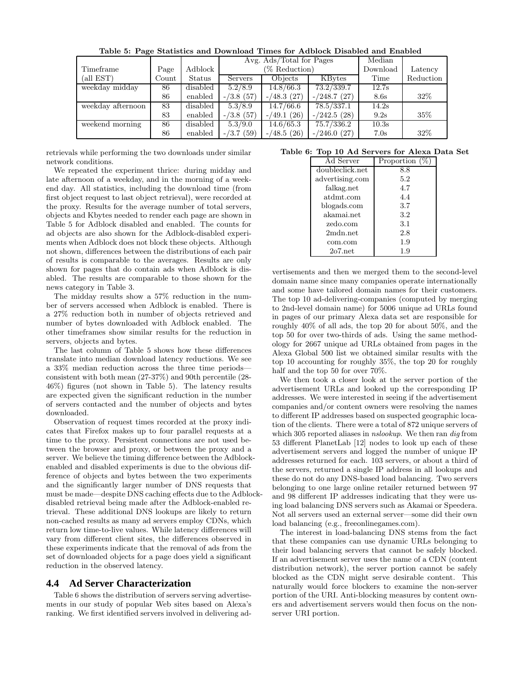| tasic of I age statistics and Dowmodd Thines for Hashock Disasicd and Bihashod |       |          |                          |                                        |                 |          |           |
|--------------------------------------------------------------------------------|-------|----------|--------------------------|----------------------------------------|-----------------|----------|-----------|
|                                                                                |       |          | Avg. Ads/Total for Pages |                                        |                 | Median   |           |
| Timeframe                                                                      | Page  | Adblock  |                          | (% Reduction)                          |                 | Download | Latency   |
| (all EST)                                                                      | Count | Status   | Servers                  | Objects                                | KBytes          | Time     | Reduction |
| weekday midday                                                                 | 86    | disabled | 5.2/8.9                  | 14.8/66.3                              | 73.2/339.7      | 12.7s    |           |
|                                                                                | 86    | enabled  | $- / 3.8 (57)$           | $- / 48.3(27)$                         | $- / 248.7(27)$ | 8.6s     | 32\%      |
| weekday afternoon                                                              | 83    | disabled | 5.3/8.9                  | 14.7/66.6                              | 78.5/337.1      | 14.2s    |           |
|                                                                                | 83    | enabled  | $- / 3.8 (57)$           | (49.1)(26)<br>$\overline{\phantom{0}}$ | $- / 242.5(28)$ | 9.2s     | 35\%      |
| weekend morning                                                                | 86    | disabled | 5.3/9.0                  | 14.6/65.3                              | 75.7/336.2      | 10.3s    |           |
|                                                                                | 86    | enabled  | $- / 3.7 (59)$           | $- / 48.5 (26)$                        | $-246.0(27)$    | 7.0s     | 32\%      |

Table 5: Page Statistics and Download Times for Adblock Disabled and Enabled

retrievals while performing the two downloads under similar network conditions.

We repeated the experiment thrice: during midday and late afternoon of a weekday, and in the morning of a weekend day. All statistics, including the download time (from first object request to last object retrieval), were recorded at the proxy. Results for the average number of total servers, objects and Kbytes needed to render each page are shown in Table 5 for Adblock disabled and enabled. The counts for ad objects are also shown for the Adblock-disabled experiments when Adblock does not block these objects. Although not shown, differences between the distributions of each pair of results is comparable to the averages. Results are only shown for pages that do contain ads when Adblock is disabled. The results are comparable to those shown for the news category in Table 3.

The midday results show a 57% reduction in the number of servers accessed when Adblock is enabled. There is a 27% reduction both in number of objects retrieved and number of bytes downloaded with Adblock enabled. The other timeframes show similar results for the reduction in servers, objects and bytes.

The last column of Table 5 shows how these differences translate into median download latency reductions. We see a 33% median reduction across the three time periods consistent with both mean (27-37%) and 90th percentile (28- 46%) figures (not shown in Table 5). The latency results are expected given the significant reduction in the number of servers contacted and the number of objects and bytes downloaded.

Observation of request times recorded at the proxy indicates that Firefox makes up to four parallel requests at a time to the proxy. Persistent connections are not used between the browser and proxy, or between the proxy and a server. We believe the timing difference between the Adblockenabled and disabled experiments is due to the obvious difference of objects and bytes between the two experiments and the significantly larger number of DNS requests that must be made—despite DNS caching effects due to the Adblockdisabled retrieval being made after the Adblock-enabled retrieval. These additional DNS lookups are likely to return non-cached results as many ad servers employ CDNs, which return low time-to-live values. While latency differences will vary from different client sites, the differences observed in these experiments indicate that the removal of ads from the set of downloaded objects for a page does yield a significant reduction in the observed latency.

#### **4.4 Ad Server Characterization**

Table 6 shows the distribution of servers serving advertisements in our study of popular Web sites based on Alexa's ranking. We first identified servers involved in delivering ad-

Table 6: Top 10 Ad Servers for Alexa Data Set

| Ad Server       | Proportion ( |
|-----------------|--------------|
| doubleclick.net | 8.8          |
| advertising.com | 5.2          |
| falkag.net      | 4.7          |
| atdmt.com       | 4.4          |
| blogads.com     | 3.7          |
| akamai.net      | 3.2          |
| zedo.com        | 3.1          |
| $2$ mdn.net     | 2.8          |
| com.com         | 1.9          |
| $2o7$ .net      | 1.9          |
|                 |              |

vertisements and then we merged them to the second-level domain name since many companies operate internationally and some have tailored domain names for their customers. The top 10 ad-delivering-companies (computed by merging to 2nd-level domain name) for 5006 unique ad URLs found in pages of our primary Alexa data set are responsible for roughly 40% of all ads, the top 20 for about 50%, and the top 50 for over two-thirds of ads. Using the same methodology for 2667 unique ad URLs obtained from pages in the Alexa Global 500 list we obtained similar results with the top 10 accounting for roughly 35%, the top 20 for roughly half and the top 50 for over 70%.

We then took a closer look at the server portion of the advertisement URLs and looked up the corresponding IP addresses. We were interested in seeing if the advertisement companies and/or content owners were resolving the names to different IP addresses based on suspected geographic location of the clients. There were a total of 872 unique servers of which 305 reported aliases in *nslookup*. We then ran *dig* from 53 different PlanetLab [12] nodes to look up each of these advertisement servers and logged the number of unique IP addresses returned for each. 103 servers, or about a third of the servers, returned a single IP address in all lookups and these do not do any DNS-based load balancing. Two servers belonging to one large online retailer returned between 97 and 98 different IP addresses indicating that they were using load balancing DNS servers such as Akamai or Speedera. Not all servers used an external server—some did their own load balancing (e.g., freeonlinegames.com).

The interest in load-balancing DNS stems from the fact that these companies can use dynamic URLs belonging to their load balancing servers that cannot be safely blocked. If an advertisement server uses the name of a CDN (content distribution network), the server portion cannot be safely blocked as the CDN might serve desirable content. This naturally would force blockers to examine the non-server portion of the URI. Anti-blocking measures by content owners and advertisement servers would then focus on the nonserver URI portion.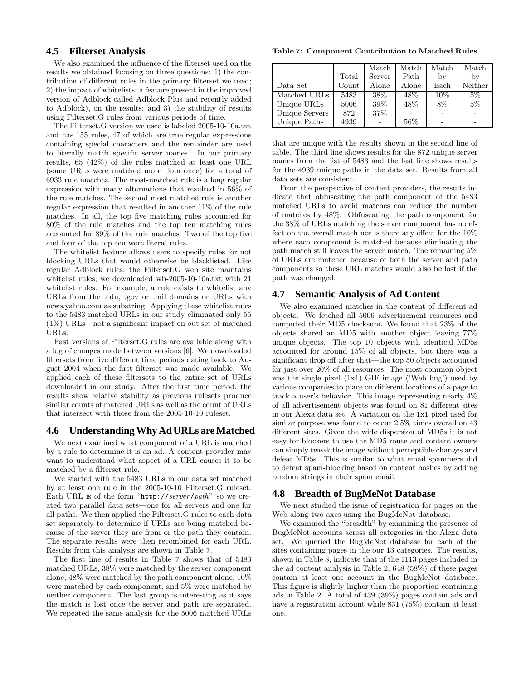## **4.5 Filterset Analysis**

We also examined the influence of the filterset used on the results we obtained focusing on three questions: 1) the contribution of different rules in the primary filterset we used; 2) the impact of whitelists, a feature present in the improved version of Adblock called Adblock Plus and recently added to Adblock), on the results; and 3) the stability of results using Filterset.G rules from various periods of time.

The Filterset.G version we used is labeled 2005-10-10a.txt and has 155 rules, 47 of which are true regular expressions containing special characters and the remainder are used to literally match specific server names. In our primary results, 65 (42%) of the rules matched at least one URL (some URLs were matched more than once) for a total of 6933 rule matches. The most-matched rule is a long regular expression with many alternations that resulted in 56% of the rule matches. The second most matched rule is another regular expression that resulted in another 11% of the rule matches. In all, the top five matching rules accounted for 80% of the rule matches and the top ten matching rules accounted for 89% of the rule matches. Two of the top five and four of the top ten were literal rules.

The whitelist feature allows users to specify rules for not blocking URLs that would otherwise be blacklisted. Like regular Adblock rules, the Filterset.G web site maintains whitelist rules; we downloaded wb-2005-10-10a.txt with 21 whitelist rules. For example, a rule exists to whitelist any URLs from the .edu, .gov or .mil domains or URLs with news.yahoo.com as substring. Applying these whitelist rules to the 5483 matched URLs in our study eliminated only 55 (1%) URLs—not a significant impact on out set of matched URLs.

Past versions of Filterset.G rules are available along with a log of changes made between versions [6]. We downloaded filtersets from five different time periods dating back to August 2004 when the first filterset was made available. We applied each of these filtersets to the entire set of URLs downloaded in our study. After the first time period, the results show relative stability as previous rulesets produce similar counts of matched URLs as well as the count of URLs that intersect with those from the 2005-10-10 ruleset.

#### **4.6 Understanding Why Ad URLs are Matched**

We next examined what component of a URL is matched by a rule to determine it is an ad. A content provider may want to understand what aspect of a URL causes it to be matched by a filterset rule.

We started with the 5483 URLs in our data set matched by at least one rule in the 2005-10-10 Filterset.G ruleset. Each URL is of the form "http://server/path" so we created two parallel data sets—one for all servers and one for all paths. We then applied the Filterset.G rules to each data set separately to determine if URLs are being matched because of the server they are from or the path they contain. The separate results were then recombined for each URL. Results from this analysis are shown in Table 7.

The first line of results in Table 7 shows that of 5483 matched URLs, 38% were matched by the server component alone, 48% were matched by the path component alone, 10% were matched by each component, and 5% were matched by neither component. The last group is interesting as it says the match is lost once the server and path are separated. We repeated the same analysis for the 5006 matched URLs

Table 7: Component Contribution to Matched Rules

|                       |                        | Match  | $\operatorname{Match}$ | Match | Match   |
|-----------------------|------------------------|--------|------------------------|-------|---------|
|                       | Total                  | Server | Path                   | by    | bv      |
| Data Set              | $\operatorname{Count}$ | Alone  | Alone                  | Each  | Neither |
| Matched URLs          | 5483                   | 38\%   | 48\%                   | 10%   | $5\%$   |
| Unique URLs           | 5006                   | 39%    | 48%                    | 8%    | 5%      |
| <b>Unique Servers</b> | 872                    | 37%    |                        |       |         |
| Unique Paths          | 4939                   |        | 56%                    |       |         |

that are unique with the results shown in the second line of table. The third line shows results for the 872 unique server names from the list of 5483 and the last line shows results for the 4939 unique paths in the data set. Results from all data sets are consistent.

From the perspective of content providers, the results indicate that obfuscating the path component of the 5483 matched URLs to avoid matches can reduce the number of matches by 48%. Obfuscating the path component for the 38% of URLs matching the server component has no effect on the overall match nor is there any effect for the 10% where each component is matched because eliminating the path match still leaves the server match. The remaining 5% of URLs are matched because of both the server and path components so these URL matches would also be lost if the path was changed.

#### **4.7 Semantic Analysis of Ad Content**

We also examined matches in the content of different ad objects. We fetched all 5006 advertisement resources and computed their MD5 checksum. We found that 23% of the objects shared an MD5 with another object leaving 77% unique objects. The top 10 objects with identical MD5s accounted for around 15% of all objects, but there was a significant drop off after that—the top 50 objects accounted for just over 20% of all resources. The most common object was the single pixel (1x1) GIF image ('Web bug') used by various companies to place on different locations of a page to track a user's behavior. This image representing nearly 4% of all advertisement objects was found on 81 different sites in our Alexa data set. A variation on the 1x1 pixel used for similar purpose was found to occur 2.5% times overall on 43 different sites. Given the wide dispersion of MD5s it is not easy for blockers to use the MD5 route and content owners can simply tweak the image without perceptible changes and defeat MD5s. This is similar to what email spammers did to defeat spam-blocking based on content hashes by adding random strings in their spam email.

#### **4.8 Breadth of BugMeNot Database**

We next studied the issue of registration for pages on the Web along two axes using the BugMeNot database.

We examined the "breadth" by examining the presence of BugMeNot accounts across all categories in the Alexa data set. We queried the BugMeNot database for each of the sites containing pages in the our 13 categories. The results, shown in Table 8, indicate that of the 1113 pages included in the ad content analysis in Table 2, 648 (58%) of these pages contain at least one account in the BugMeNot database. This figure is slightly higher than the proportion containing ads in Table 2. A total of 439 (39%) pages contain ads and have a registration account while 831 (75%) contain at least one.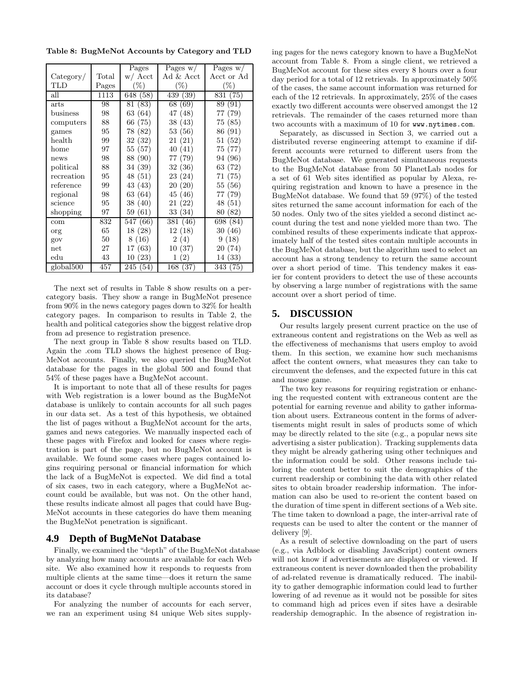Table 8: BugMeNot Accounts by Category and TLD

|                       |       | Pages    | Pages $w/$            | Pages $w/$            |
|-----------------------|-------|----------|-----------------------|-----------------------|
| Category/             | Total | w/ Acct  | $Ad &$ Acct           | Acct or Ad            |
| <b>TLD</b>            | Pages | $(\%)$   | $(\%)$                | $(\%)$                |
| all                   | 1113  | 648 (58) | $\overline{439} (39)$ | $\overline{831} (75)$ |
| <i>arts</i>           | 98    | 81(83)   | 68 (69)               | 89 (91)               |
| business              | 98    | 63 (64)  | 47 (48)               | 77 (79)               |
| computers             | 88    | 66 (75)  | 38(43)                | 75 (85)               |
| games                 | 95    | 78 (82)  | 53(56)                | 86 (91)               |
| health                | 99    | 32(32)   | 21(21)                | 51(52)                |
| home                  | 97    | 55(57)   | 40(41)                | 75 (77)               |
| news                  | 98    | 88 (90)  | 77 (79)               | 94 (96)               |
| political             | 88    | 34(39)   | 32(36)                | 63 (72)               |
| recreation            | 95    | 48 (51)  | 23(24)                | 71 (75)               |
| reference             | 99    | 43(43)   | 20(20)                | 55 (56)               |
| regional              | 98    | 63 (64)  | 45 (46)               | 77 (79)               |
| science               | 95    | 38(40)   | 21(22)                | 48(51)                |
| shopping              | 97    | 59(61)   | 33(34)                | 80 (82)               |
| com                   | 832   | 547 (66) | 381 (46)              | 698 (84)              |
| org                   | 65    | 18(28)   | 12(18)                | 30(46)                |
| gov                   | 50    | 8(16)    | 2(4)                  | 9(18)                 |
| net                   | 27    | 17(63)   | 10(37)                | 20 (74)               |
| $_{\rm edu}$          | 43    | 10(23)   | 1(2)                  | 14 (33)               |
| global <sup>500</sup> | 457   | 245 (54) | 168 (37)              | 343 (75)              |

The next set of results in Table 8 show results on a percategory basis. They show a range in BugMeNot presence from 90% in the news category pages down to 32% for health category pages. In comparison to results in Table 2, the health and political categories show the biggest relative drop from ad presence to registration presence.

The next group in Table 8 show results based on TLD. Again the .com TLD shows the highest presence of Bug-MeNot accounts. Finally, we also queried the BugMeNot database for the pages in the global 500 and found that 54% of these pages have a BugMeNot account.

It is important to note that all of these results for pages with Web registration is a lower bound as the BugMeNot database is unlikely to contain accounts for all such pages in our data set. As a test of this hypothesis, we obtained the list of pages without a BugMeNot account for the arts, games and news categories. We manually inspected each of these pages with Firefox and looked for cases where registration is part of the page, but no BugMeNot account is available. We found some cases where pages contained logins requiring personal or financial information for which the lack of a BugMeNot is expected. We did find a total of six cases, two in each category, where a BugMeNot account could be available, but was not. On the other hand, these results indicate almost all pages that could have Bug-MeNot accounts in these categories do have them meaning the BugMeNot penetration is significant.

## **4.9 Depth of BugMeNot Database**

Finally, we examined the "depth" of the BugMeNot database by analyzing how many accounts are available for each Web site. We also examined how it responds to requests from multiple clients at the same time—does it return the same account or does it cycle through multiple accounts stored in its database?

For analyzing the number of accounts for each server, we ran an experiment using 84 unique Web sites supplying pages for the news category known to have a BugMeNot account from Table 8. From a single client, we retrieved a BugMeNot account for these sites every 8 hours over a four day period for a total of 12 retrievals. In approximately 50% of the cases, the same account information was returned for each of the 12 retrievals. In approximately, 25% of the cases exactly two different accounts were observed amongst the 12 retrievals. The remainder of the cases returned more than two accounts with a maximum of 10 for www.nytimes.com.

Separately, as discussed in Section 3, we carried out a distributed reverse engineering attempt to examine if different accounts were returned to different users from the BugMeNot database. We generated simultaneous requests to the BugMeNot database from 50 PlanetLab nodes for a set of 61 Web sites identified as popular by Alexa, requiring registration and known to have a presence in the BugMeNot database. We found that 59 (97%) of the tested sites returned the same account information for each of the 50 nodes. Only two of the sites yielded a second distinct account during the test and none yielded more than two. The combined results of these experiments indicate that approximately half of the tested sites contain multiple accounts in the BugMeNot database, but the algorithm used to select an account has a strong tendency to return the same account over a short period of time. This tendency makes it easier for content providers to detect the use of these accounts by observing a large number of registrations with the same account over a short period of time.

## **5. DISCUSSION**

Our results largely present current practice on the use of extraneous content and registrations on the Web as well as the effectiveness of mechanisms that users employ to avoid them. In this section, we examine how such mechanisms affect the content owners, what measures they can take to circumvent the defenses, and the expected future in this cat and mouse game.

The two key reasons for requiring registration or enhancing the requested content with extraneous content are the potential for earning revenue and ability to gather information about users. Extraneous content in the forms of advertisements might result in sales of products some of which may be directly related to the site (e.g., a popular news site advertising a sister publication). Tracking supplements data they might be already gathering using other techniques and the information could be sold. Other reasons include tailoring the content better to suit the demographics of the current readership or combining the data with other related sites to obtain broader readership information. The information can also be used to re-orient the content based on the duration of time spent in different sections of a Web site. The time taken to download a page, the inter-arrival rate of requests can be used to alter the content or the manner of delivery [9].

As a result of selective downloading on the part of users (e.g., via Adblock or disabling JavaScript) content owners will not know if advertisements are displayed or viewed. If extraneous content is never downloaded then the probability of ad-related revenue is dramatically reduced. The inability to gather demographic information could lead to further lowering of ad revenue as it would not be possible for sites to command high ad prices even if sites have a desirable readership demographic. In the absence of registration in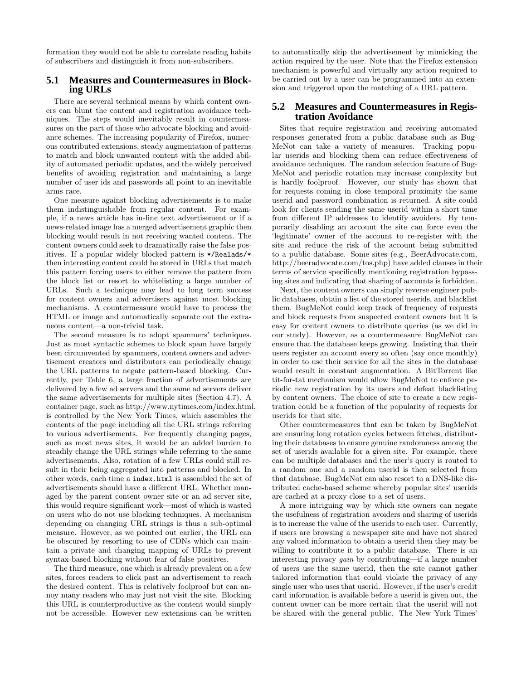formation they would not be able to correlate reading habits of subscribers and distinguish it from non-subscribers.

## **5.1 Measures and Countermeasures in Blocking URLs**

There are several technical means by which content owners can blunt the content and registration avoidance techniques. The steps would inevitably result in countermeasures on the part of those who advocate blocking and avoidance schemes. The increasing popularity of Firefox, numerous contributed extensions, steady augmentation of patterns to match and block unwanted content with the added ability of automated periodic updates, and the widely perceived benefits of avoiding registration and maintaining a large number of user ids and passwords all point to an inevitable arms race.

One measure against blocking advertisements is to make them indistinguishable from regular content. For example, if a news article has in-line text advertisement or if a news-related image has a merged advertisement graphic then blocking would result in not receiving wanted content. The content owners could seek to dramatically raise the false positives. If a popular widely blocked pattern is \*/Realads/\* then interesting content could be stored in URLs that match this pattern forcing users to either remove the pattern from the block list or resort to whitelisting a large number of URLs. Such a technique may lead to long term success for content owners and advertisers against most blocking mechanisms. A countermeasure would have to process the HTML or image and automatically separate out the extraneous content—a non-trivial task.

The second measure is to adopt spammers' techniques. Just as most syntactic schemes to block spam have largely been circumvented by spammers, content owners and advertisement creators and distributors can periodically change the URL patterns to negate pattern-based blocking. Currently, per Table 6, a large fraction of advertisements are delivered by a few ad servers and the same ad servers deliver the same advertisements for multiple sites (Section 4.7). A container page, such as http://www.nytimes.com/index.html, is controlled by the New York Times, which assembles the contents of the page including all the URL strings referring to various advertisements. For frequently changing pages, such as most news sites, it would be an added burden to steadily change the URL strings while referring to the same advertisements. Also, rotation of a few URLs could still result in their being aggregated into patterns and blocked. In other words, each time a index.html is assembled the set of advertisements should have a different URL. Whether managed by the parent content owner site or an ad server site, this would require significant work—most of which is wasted on users who do not use blocking techniques. A mechanism depending on changing URL strings is thus a sub-optimal measure. However, as we pointed out earlier, the URL can be obscured by resorting to use of CDNs which can maintain a private and changing mapping of URLs to prevent syntax-based blocking without fear of false positives.

The third measure, one which is already prevalent on a few sites, forces readers to click past an advertisement to reach the desired content. This is relatively foolproof but can annoy many readers who may just not visit the site. Blocking this URL is counterproductive as the content would simply not be accessible. However new extensions can be written

to automatically skip the advertisement by mimicking the action required by the user. Note that the Firefox extension mechanism is powerful and virtually any action required to be carried out by a user can be programmed into an extension and triggered upon the matching of a URL pattern.

#### **5.2 Measures and Countermeasures in Registration Avoidance**

Sites that require registration and receiving automated responses generated from a public database such as Bug-MeNot can take a variety of measures. Tracking popular userids and blocking them can reduce effectiveness of avoidance techniques. The random selection feature of Bug-MeNot and periodic rotation may increase complexity but is hardly foolproof. However, our study has shown that for requests coming in close temporal proximity the same userid and password combination is returned. A site could look for clients sending the same userid within a short time from different IP addresses to identify avoiders. By temporarily disabling an account the site can force even the 'legitimate' owner of the account to re-register with the site and reduce the risk of the account being submitted to a public database. Some sites (e.g., BeerAdvocate.com, http://beeradvocate.com/tos.php) have added clauses in their terms of service specifically mentioning registration bypassing sites and indicating that sharing of accounts is forbidden.

Next, the content owners can simply reverse engineer public databases, obtain a list of the stored userids, and blacklist them. BugMeNot could keep track of frequency of requests and block requests from suspected content owners but it is easy for content owners to distribute queries (as we did in our study). However, as a countermeasure BugMeNot can ensure that the database keeps growing. Insisting that their users register an account every so often (say once monthly) in order to use their service for all the sites in the database would result in constant augmentation. A BitTorrent like tit-for-tat mechanism would allow BugMeNot to enforce periodic new registration by its users and defeat blacklisting by content owners. The choice of site to create a new registration could be a function of the popularity of requests for userids for that site.

Other countermeasures that can be taken by BugMeNot are ensuring long rotation cycles between fetches, distributing their databases to ensure genuine randomness among the set of userids available for a given site. For example, there can be multiple databases and the user's query is routed to a random one and a random userid is then selected from that database. BugMeNot can also resort to a DNS-like distributed cache-based scheme whereby popular sites' userids are cached at a proxy close to a set of users.

A more intriguing way by which site owners can negate the usefulness of registration avoiders and sharing of userids is to increase the value of the userids to each user. Currently, if users are browsing a newspaper site and have not shared any valued information to obtain a userid then they may be willing to contribute it to a public database. There is an interesting privacy gain by contributing—if a large number of users use the same userid, then the site cannot gather tailored information that could violate the privacy of any single user who uses that userid. However, if the user's credit card information is available before a userid is given out, the content owner can be more certain that the userid will not be shared with the general public. The New York Times'